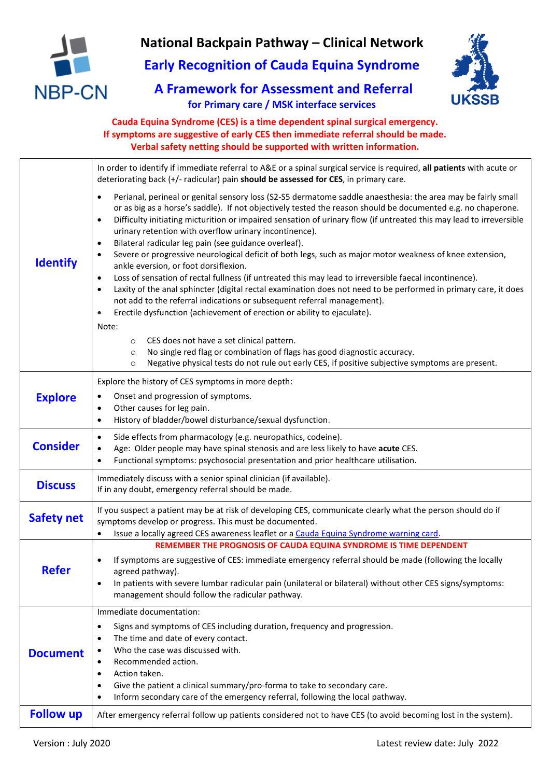

# **National Backpain Pathway – Clinical Network**

**Early Recognition of Cauda Equina Syndrome**

**A Framework for Assessment and Referral for Primary care / MSK interface services**



## **Cauda Equina Syndrome (CES) is a time dependent spinal surgical emergency. If symptoms are suggestive of early CES then immediate referral should be made. Verbal safety netting should be supported with written information.**

|                   | In order to identify if immediate referral to A&E or a spinal surgical service is required, all patients with acute or<br>deteriorating back (+/- radicular) pain should be assessed for CES, in primary care.                                                                                                                                                                                                                                                                                                                                                                                                                                                                                                                                                                                                                                                                                                                                                                                                                                                                                                                                                                                                                                                                                                                                                     |  |
|-------------------|--------------------------------------------------------------------------------------------------------------------------------------------------------------------------------------------------------------------------------------------------------------------------------------------------------------------------------------------------------------------------------------------------------------------------------------------------------------------------------------------------------------------------------------------------------------------------------------------------------------------------------------------------------------------------------------------------------------------------------------------------------------------------------------------------------------------------------------------------------------------------------------------------------------------------------------------------------------------------------------------------------------------------------------------------------------------------------------------------------------------------------------------------------------------------------------------------------------------------------------------------------------------------------------------------------------------------------------------------------------------|--|
| <b>Identify</b>   | Perianal, perineal or genital sensory loss (S2-S5 dermatome saddle anaesthesia: the area may be fairly small<br>$\bullet$<br>or as big as a horse's saddle). If not objectively tested the reason should be documented e.g. no chaperone.<br>Difficulty initiating micturition or impaired sensation of urinary flow (if untreated this may lead to irreversible<br>$\bullet$<br>urinary retention with overflow urinary incontinence).<br>Bilateral radicular leg pain (see guidance overleaf).<br>$\bullet$<br>Severe or progressive neurological deficit of both legs, such as major motor weakness of knee extension,<br>ankle eversion, or foot dorsiflexion.<br>Loss of sensation of rectal fullness (if untreated this may lead to irreversible faecal incontinence).<br>$\bullet$<br>Laxity of the anal sphincter (digital rectal examination does not need to be performed in primary care, it does<br>$\bullet$<br>not add to the referral indications or subsequent referral management).<br>Erectile dysfunction (achievement of erection or ability to ejaculate).<br>$\bullet$<br>Note:<br>CES does not have a set clinical pattern.<br>$\circ$<br>No single red flag or combination of flags has good diagnostic accuracy.<br>$\circ$<br>Negative physical tests do not rule out early CES, if positive subjective symptoms are present.<br>$\circ$ |  |
| <b>Explore</b>    | Explore the history of CES symptoms in more depth:<br>Onset and progression of symptoms.<br>Other causes for leg pain.<br>$\bullet$<br>History of bladder/bowel disturbance/sexual dysfunction.<br>$\bullet$                                                                                                                                                                                                                                                                                                                                                                                                                                                                                                                                                                                                                                                                                                                                                                                                                                                                                                                                                                                                                                                                                                                                                       |  |
| <b>Consider</b>   | Side effects from pharmacology (e.g. neuropathics, codeine).<br>$\bullet$<br>Age: Older people may have spinal stenosis and are less likely to have acute CES.<br>$\bullet$<br>Functional symptoms: psychosocial presentation and prior healthcare utilisation.<br>$\bullet$                                                                                                                                                                                                                                                                                                                                                                                                                                                                                                                                                                                                                                                                                                                                                                                                                                                                                                                                                                                                                                                                                       |  |
| <b>Discuss</b>    | Immediately discuss with a senior spinal clinician (if available).<br>If in any doubt, emergency referral should be made.                                                                                                                                                                                                                                                                                                                                                                                                                                                                                                                                                                                                                                                                                                                                                                                                                                                                                                                                                                                                                                                                                                                                                                                                                                          |  |
| <b>Safety net</b> | If you suspect a patient may be at risk of developing CES, communicate clearly what the person should do if<br>symptoms develop or progress. This must be documented.<br>Issue a locally agreed CES awareness leaflet or a Cauda Equina Syndrome warning card.                                                                                                                                                                                                                                                                                                                                                                                                                                                                                                                                                                                                                                                                                                                                                                                                                                                                                                                                                                                                                                                                                                     |  |
| <b>Refer</b>      | REMEMBER THE PROGNOSIS OF CAUDA EQUINA SYNDROME IS TIME DEPENDENT<br>If symptoms are suggestive of CES: immediate emergency referral should be made (following the locally<br>$\bullet$<br>agreed pathway).<br>In patients with severe lumbar radicular pain (unilateral or bilateral) without other CES signs/symptoms:<br>management should follow the radicular pathway.                                                                                                                                                                                                                                                                                                                                                                                                                                                                                                                                                                                                                                                                                                                                                                                                                                                                                                                                                                                        |  |
| <b>Document</b>   | Immediate documentation:<br>Signs and symptoms of CES including duration, frequency and progression.<br>$\bullet$<br>The time and date of every contact.<br>$\bullet$<br>Who the case was discussed with.<br>Recommended action.<br>Action taken.<br>$\bullet$<br>Give the patient a clinical summary/pro-forma to take to secondary care.<br>٠<br>Inform secondary care of the emergency referral, following the local pathway.<br>$\bullet$                                                                                                                                                                                                                                                                                                                                                                                                                                                                                                                                                                                                                                                                                                                                                                                                                                                                                                                      |  |
| <b>Follow up</b>  | After emergency referral follow up patients considered not to have CES (to avoid becoming lost in the system).                                                                                                                                                                                                                                                                                                                                                                                                                                                                                                                                                                                                                                                                                                                                                                                                                                                                                                                                                                                                                                                                                                                                                                                                                                                     |  |